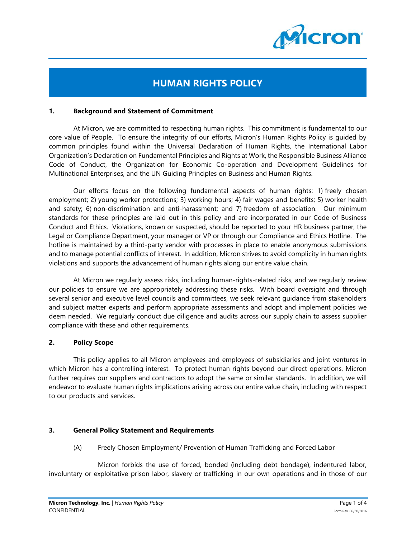

# **HUMAN RIGHTS POLICY**

#### **1. Background and Statement of Commitment**

At Micron, we are committed to respecting human rights. This commitment is fundamental to our core value of People. To ensure the integrity of our efforts, Micron's Human Rights Policy is guided by common principles found within the Universal Declaration of Human Rights, the International Labor Organization's Declaration on Fundamental Principles and Rights at Work, the Responsible Business Alliance Code of Conduct, the Organization for Economic Co-operation and Development Guidelines for Multinational Enterprises, and the UN Guiding Principles on Business and Human Rights.

Our efforts focus on the following fundamental aspects of human rights: 1) freely chosen employment; 2) young worker protections; 3) working hours; 4) fair wages and benefits; 5) worker health and safety; 6) non-discrimination and anti-harassment; and 7) freedom of association. Our minimum standards for these principles are laid out in this policy and are incorporated in our Code of Business Conduct and Ethics. Violations, known or suspected, should be reported to your HR business partner, the Legal or Compliance Department, your manager or VP or through our Compliance and Ethics Hotline. The hotline is maintained by a third-party vendor with processes in place to enable anonymous submissions and to manage potential conflicts of interest. In addition, Micron strives to avoid complicity in human rights violations and supports the advancement of human rights along our entire value chain.

At Micron we regularly assess risks, including human-rights-related risks, and we regularly review our policies to ensure we are appropriately addressing these risks. With board oversight and through several senior and executive level councils and committees, we seek relevant guidance from stakeholders and subject matter experts and perform appropriate assessments and adopt and implement policies we deem needed. We regularly conduct due diligence and audits across our supply chain to assess supplier compliance with these and other requirements.

#### **2. Policy Scope**

This policy applies to all Micron employees and employees of subsidiaries and joint ventures in which Micron has a controlling interest. To protect human rights beyond our direct operations, Micron further requires our suppliers and contractors to adopt the same or similar standards. In addition, we will endeavor to evaluate human rights implications arising across our entire value chain, including with respect to our products and services.

## **3. General Policy Statement and Requirements**

(A) Freely Chosen Employment/ Prevention of Human Trafficking and Forced Labor

Micron forbids the use of forced, bonded (including debt bondage), indentured labor, involuntary or exploitative prison labor, slavery or trafficking in our own operations and in those of our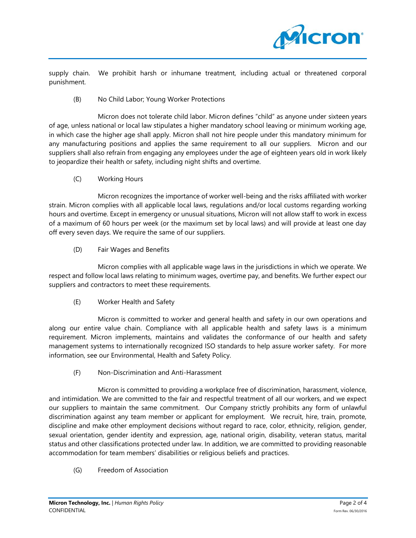

supply chain. We prohibit harsh or inhumane treatment, including actual or threatened corporal punishment.

## (B) No Child Labor; Young Worker Protections

Micron does not tolerate child labor. Micron defines "child" as anyone under sixteen years of age, unless national or local law stipulates a higher mandatory school leaving or minimum working age, in which case the higher age shall apply. Micron shall not hire people under this mandatory minimum for any manufacturing positions and applies the same requirement to all our suppliers. Micron and our suppliers shall also refrain from engaging any employees under the age of eighteen years old in work likely to jeopardize their health or safety, including night shifts and overtime.

(C) Working Hours

Micron recognizes the importance of worker well-being and the risks affiliated with worker strain. Micron complies with all applicable local laws, regulations and/or local customs regarding working hours and overtime. Except in emergency or unusual situations, Micron will not allow staff to work in excess of a maximum of 60 hours per week (or the maximum set by local laws) and will provide at least one day off every seven days. We require the same of our suppliers.

(D) Fair Wages and Benefits

Micron complies with all applicable wage laws in the jurisdictions in which we operate. We respect and follow local laws relating to minimum wages, overtime pay, and benefits. We further expect our suppliers and contractors to meet these requirements.

(E) Worker Health and Safety

Micron is committed to worker and general health and safety in our own operations and along our entire value chain. Compliance with all applicable health and safety laws is a minimum requirement. Micron implements, maintains and validates the conformance of our health and safety management systems to internationally recognized ISO standards to help assure worker safety. For more information, see our Environmental, Health and Safety Policy.

(F) Non-Discrimination and Anti-Harassment

Micron is committed to providing a workplace free of discrimination, harassment, violence, and intimidation. We are committed to the fair and respectful treatment of all our workers, and we expect our suppliers to maintain the same commitment. Our Company strictly prohibits any form of unlawful discrimination against any team member or applicant for employment. We recruit, hire, train, promote, discipline and make other employment decisions without regard to race, color, ethnicity, religion, gender, sexual orientation, gender identity and expression, age, national origin, disability, veteran status, marital status and other classifications protected under law. In addition, we are committed to providing reasonable accommodation for team members' disabilities or religious beliefs and practices.

(G) Freedom of Association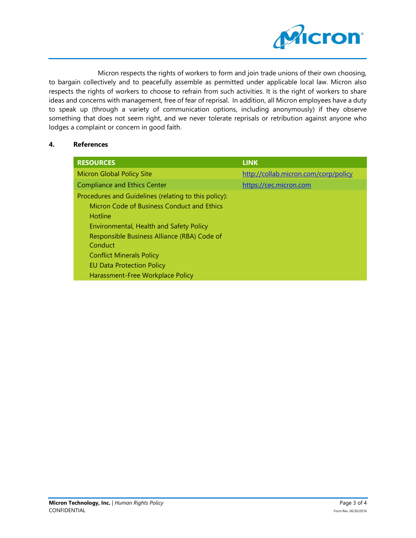

Micron respects the rights of workers to form and join trade unions of their own choosing, to bargain collectively and to peacefully assemble as permitted under applicable local law. Micron also respects the rights of workers to choose to refrain from such activities. It is the right of workers to share ideas and concerns with management, free of fear of reprisal. In addition, all Micron employees have a duty to speak up (through a variety of communication options, including anonymously) if they observe something that does not seem right, and we never tolerate reprisals or retribution against anyone who lodges a complaint or concern in good faith.

## **4. References**

| <b>RESOURCES</b>                                     | <b>LINK</b>                          |
|------------------------------------------------------|--------------------------------------|
| <b>Micron Global Policy Site</b>                     | http://collab.micron.com/corp/policy |
| <b>Compliance and Ethics Center</b>                  | https://cec.micron.com               |
| Procedures and Guidelines (relating to this policy): |                                      |
| Micron Code of Business Conduct and Ethics           |                                      |
| Hotline                                              |                                      |
| Environmental, Health and Safety Policy              |                                      |
| Responsible Business Alliance (RBA) Code of          |                                      |
| Conduct                                              |                                      |
| <b>Conflict Minerals Policy</b>                      |                                      |
| <b>EU Data Protection Policy</b>                     |                                      |
| Harassment-Free Workplace Policy                     |                                      |